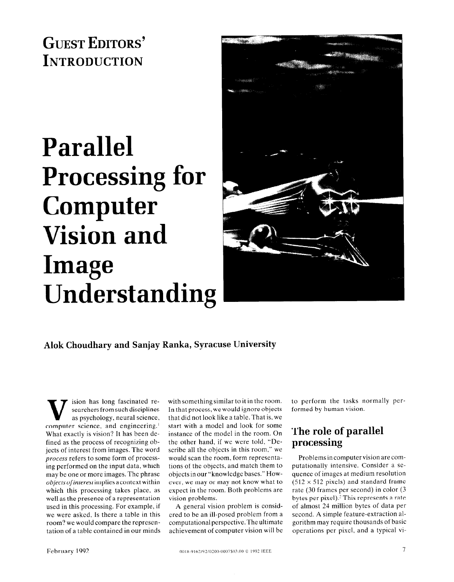GUEST EDITORS' **INTRODUCTION** 

# Parallel Processing for Computer Vision and Image Understanding



### Alok Choudhary and Sanjay Ranka, Syracuse University

ision has long fascinated researchers from such disciplines as psychology, neural science, computer science, and engineering.' What exactly is vision? It has been defined as the process of recognizing objects of interest from images. The word process refers to some form of processing performed on the input data, which may be one or more images. The phrase objects of interest implies a context within which this processing takes place, as well as the presence of a representation used in this processing. For example, if we were asked, Is there a table in this room? we would compare the representation of a table contained in our minds

with something similar to it in the room. In that process, we would ignore objects that did not look like a table. That is, we start with a model and look for some instance of the model in the room. On the other hand, if we were told, "Describe all the objects in this room." we would scan the room. form representations of the objects, and match them to objects in our "knowledge bases." However, we may or may not know what to expect in the room. Both problems are vision problems.

A general vision problem is considered to be an ill-posed problem from a computational perspective. The ultimate achievement of computer vision will be to perform the tasks normally performed by human vision.

## The role of parallel processing

Problems in computer vision are computationally intensive. Consider a sequence of images at medium resolution  $(512 \times 512 \text{ pixels})$  and standard frame rate (30 frames per second) in color (3 bytes per pixel).<sup>2</sup> This represents a rate of almost 24 million bytes of data per second. A simple feature-extraction algorithm may require thousands of basic operations per pixel, and a typical vi-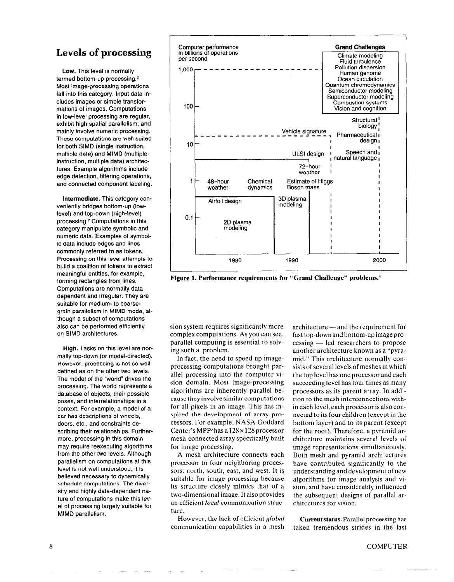### Levels of processing

Low. This level is normally termed bottom-up processing.<sup>2</sup> Most image-processing operations fall into this category. Input data includes images or simple transformations of images. Computations in low-level processing are regular, exhibit high spatial parallelism, and mainly involve numeric processing. These computations are well suited for both SIMD (single instruction, multiple data) and MIMD (multiple instruction, multiple data) architectures. Example algorithms include edge detection, filtering operations, and connected component labeling.

Intermediate. This category conveniently bridges bottom-up (lowlevel) and top-down (high-level) processing.' Computations in this category manipulate symbolic and numeric data. Examples of symbolic data include edges and lines commonly referred to as tokens. Processing on this level attempts to build a coalition of tokens to extract meaningful entities, for example, forming rectangles from lines. Computations are normally data dependent and irregular. They are suitable for medium- to coarsegrain parallelism in MIMD mode, although a subset of computations also can be performed efficiently on SIMD architectures.

High. Tasks on this level are normally top-down (or model-directed). However, processing is not so well defined as on the other two levels. The model of the "world" drives the processing. The world represents a database of objects, their possible poses, and interrelationships in a context. For example, a model of a car has descriptions of wheels, doors, etc., and constraints describing their relationships. Furthermore, processing in this domain may require reexecuting algorithms from the other two levels. Although parallelism on computations at this level is not well understood, it is believed necessary to dynamically schedule computations. The diversity and highly data-dependent nature of computations make this level of processing largely suitable for MIMD parallelism.



Figure 1. Performance requirements for "Grand Challenge" problems.<sup>4</sup>

sion system requires significantly more complex computations. As you can see, parallel computing is essential to solving such a problem.

In fact, the need to speed up imageprocessing computations brought parallel processing into the computer vision domain. Most image-processing algorithms are inherently parallel because they involve similar computations for all pixels in an image. This has inspired the development of array processors. For example, NASA Goddard Center's MPP<sup>3</sup> has a  $128 \times 128$  processor mesh-connected array specifically built for image processing.

A mesh architecture connects each processor to four neighboring processors: north, south, east, and west. It is suitable for image processing because its structure closely mimics that of a two-dimensional image. It also provides an efficient local communication structure.

However, the lack of efficient global Current status. Parallel processing has communication capabilities in a mesh taken tremendous strides in the last

architecture — and the requirement for fast top-down and bottom-up image pro $c \cdot$  cessing  $-$  led researchers to propose another architecture known as a "pyramid." This architecture normally consists of several levels of meshes in which the top level has one processor and each succeeding level has four times as many processors as its parent array. In addition to the mesh interconnections within each level, each processor is also connected to its four children (except in the bottom layer) and to its parent (except for the root). Therefore, a pyramid architecture maintains several levels of image representations simultaneously. Both mesh and pyramid architectures have contributed significantly to the understanding and development of new algorithms for image analysis and vision, and have considerably influenced the subsequent designs of parallel architectures for vision.

### 8 COMPUTE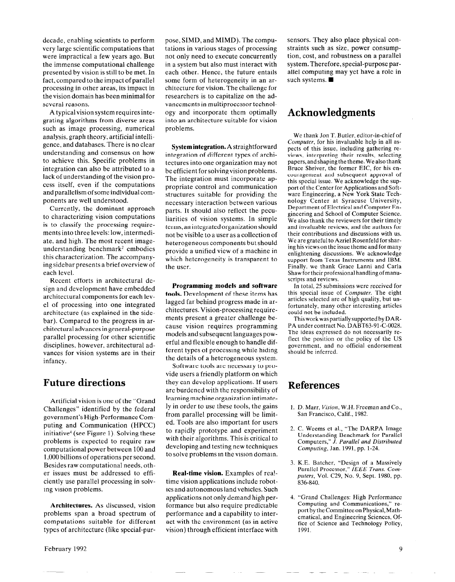decade, enabling scientists to perform very large scientific computations that were impractical a few years ago. But the immense computational challenge presented by vision is still to be met. In fact, compared to the impact of parallel processing in other areas, its impact in the vision domain has been minimal for several reasons.

A typical vision system requires integrating algorithms from diverse areas such as image processing, numerical analysis, graph theory, artificial intelligence, and databases. There is no clear understanding and consensus on how to achieve this. Specific problems in integration can also be attributed to a lack of understanding of the vision process itself, even if the computations and parallelism of some individual components are well understood.

Currently, the dominant approach to characterizing vision computations is to classify the processing requirements into three levels: low, intermediate, and high. The most recent imageunderstanding benchmark<sup>2</sup> embodies this characterization. The accompanying sidebar presents a brief overview of each level.

Recent efforts in architectural design and development have embedded architectural components for each level of processing into one integrated architecture (as explained in the sidebar). Compared to the progress in architectural advances in general-purpose parallel processing for other scientific disciplines, however, architectural advances for vision systems are in their infancy.

### Future directions

Artificial vision is one of the "Grand Challenges" identified by the federal government's High-Performance Computing and Communication (HPCC) initiative4 (see Figure 1). Solving these problems is expected to require raw computational power between 100 and 1,000 billions of operations per second. Besides raw computational needs, other issues must be addressed to efficiently use parallel processing in solving vision problems.

Architectures. As discussed, vision problems span a broad spectrum of computations suitable for different types of architecture (like special-pur-

pose, SIMD, and MIMD). The compu- sensors. They also place physical consome form of heterogeneity in an ar- such systems.  $\blacksquare$ chitecture for vision. The challenge for researchers is to capitalize on the advancementsin multiprocessor technology and incorporate them optimally into an architecture suitable for vision problems.

System integration. A straightforward integration of different types of archi tectures into one organization may not papers, and shaping the theme. We also thank<br>be efficient for solving vision problems Bruce Shriver, the former EIC, for his enbe efficient for solving vision problems. The integration must incorporate appropriate control and communication structures suitable for providing the necessary interaction between various nology Center at Syracuse University, parts. It should also reflect the peculiarities of vision systems. In simple terms. an integrated organization should not be visible to a user as a collection of their contributions and discussions with us.<br>beta reconoculations but should We are grateful to Azriel Rosenfeld for sharheterogeneous components but should We are grateful to Azriel Rosenfeld for shar-<br>ing his views on the issue theme and for many provide a unified view of a machine in which heterogeneity is transparent to the user. Finally, we thank Grace Lanni and Carla

**Programming models and software**  $\overline{1}$  in total, 25 submissions were received for tools. Development of these items has this special issue of Computer. The eight lagged far behind progress made in ar-<br>articles selected are of high quality, but unranged far bening progress made in a<sup>1-</sup> fortunately, many other interesting articles chitectures. Vision-processing requirements present a greater challenge be-<br>This work was partially supported by DARferent types of processing while hiding the details of a heterogeneous system.

Software tools are necessary to provide users a friendly platform on which they can develop applications. If users  $\mathbf{Reference}$ learning machine organization intimately in order to use these tools, the gains from parallel processing will be limited. Tools are also important for users to rapidly prototype and experiment with their algorithms. This is critical to developing and testing new techniques to solve problems in the vision domain.

Real-time vision. Examples of rea! time vision applications include robotics and autonomous land vehicles. Such applications not only demand high performance but also require predictable performance and a capability to interact with the environment (as in active vision) through efficient interface with

tations in various stages of processing straints such as size, power consumpnot only need to execute concurrently tion, cost, and robustness on a parallel in a system but also must interact with system. Therefore, special-purpose pareach other. Hence, the future entails allel computing may yet have a role in

### Acknowledgments

We thank Jon T. Butler, editor-in-chief of Computer, for his invaluable help in all aspects of this issue, including gathering reviews, interpreting their results, selecting couragement and subsequent approval of this special issue. We acknowledge the support of the Center for Applications and Software Engineering, a New York State Tech-Department of Electrical and Computer Engineering and School of Computer Science. We also thank the reviewers for their timely and invaluable reviews. and the authors for enlightening discussions. We acknowledge support from Texas Instruments and IBM. Shaw for their professional handling of manuscripts and reviews.

could not be included.

cause vision requires programming PA under contract No. DABT63-91-C-0028. models and subsequent languages pow- The ideas expressed do not necessarily reerful and flexible enough to handle difgovernment, and no official endorsement should be inferred.

- 1. D. Marr, Vision, W.H. Freeman and Co., San Francisco, Calif., 1982.
- 2. C. Weems et al., "The DARPA Image Understanding Benchmark for Parallel Computers," J. Parallel and Distributed Computing, Jan. 1991, pp. 1-24.
- 3. K.E. Batcher, "Design of a Massively Parallel Processor," IEEE Trans. Computers, Vol. C29, No. 9, Sept. 1980, pp. 836-840.
- 4. "Grand Challenges: High Performance Computing and Communications," report by the Committee on Physical, Mathematical, and Engineering Sciences, Office of Science and Technology Policy, 1991.